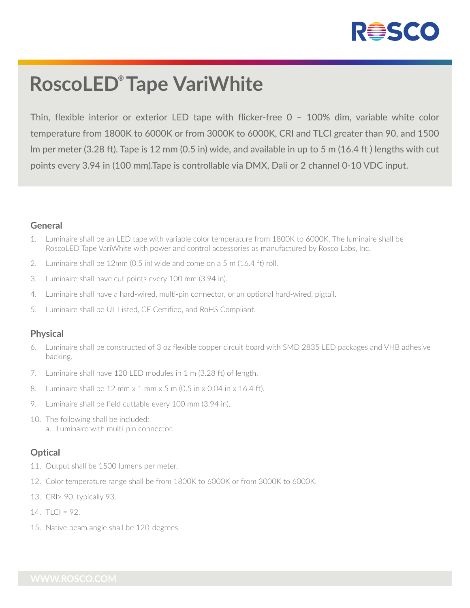

# **RoscoLED® Tape VariWhite**

Thin, flexible interior or exterior LED tape with flicker-free 0 – 100% dim, variable white color temperature from 1800K to 6000K or from 3000K to 6000K, CRI and TLCI greater than 90, and 1500 lm per meter (3.28 ft). Tape is 12 mm (0.5 in) wide, and available in up to 5 m (16.4 ft ) lengths with cut points every 3.94 in (100 mm).Tape is controllable via DMX, Dali or 2 channel 0-10 VDC input.

#### **General**

- 1. Luminaire shall be an LED tape with variable color temperature from 1800K to 6000K. The luminaire shall be RoscoLED Tape VariWhite with power and control accessories as manufactured by Rosco Labs, Inc.
- 2. Luminaire shall be 12mm (0.5 in) wide and come on a 5 m (16.4 ft) roll.
- 3. Luminaire shall have cut points every 100 mm (3.94 in).
- 4. Luminaire shall have a hard-wired, multi-pin connector, or an optional hard-wired, pigtail.
- 5. Luminaire shall be UL Listed, CE Certified, and RoHS Compliant.

#### **Physical**

- 6. Luminaire shall be constructed of 3 oz flexible copper circuit board with SMD 2835 LED packages and VHB adhesive backing.
- 7. Luminaire shall have 120 LED modules in 1 m (3.28 ft) of length.
- 8. Luminaire shall be 12 mm x 1 mm x 5 m (0.5 in x 0.04 in x 16.4 ft).
- 9. Luminaire shall be field cuttable every 100 mm (3.94 in).
- 10. The following shall be included: a. Luminaire with multi-pin connector.

### **Optical**

- 11. Output shall be 1500 lumens per meter.
- 12. Color temperature range shall be from 1800K to 6000K or from 3000K to 6000K.
- 13. CRI> 90, typically 93.
- 14.  $TLCl = 92$ .
- 15. Native beam angle shall be 120-degrees.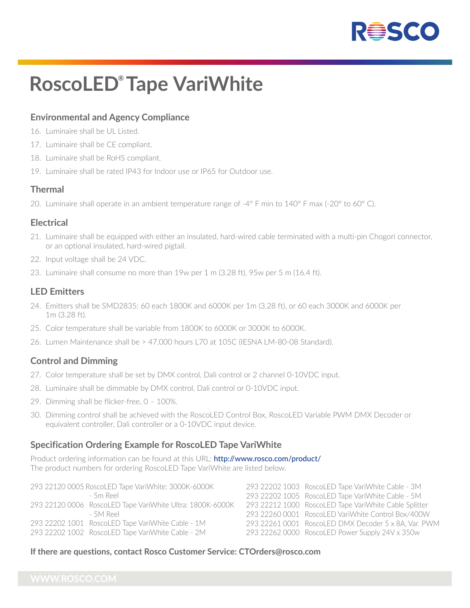

# **RoscoLED® Tape VariWhite**

## **Environmental and Agency Compliance**

- 16. Luminaire shall be UL Listed.
- 17. Luminaire shall be CE compliant.
- 18. Luminaire shall be RoHS compliant.
- 19. Luminaire shall be rated IP43 for Indoor use or IP65 for Outdoor use.

#### **Thermal**

20. Luminaire shall operate in an ambient temperature range of -4° F min to 140° F max (-20° to 60° C).

#### **Electrical**

- 21. Luminaire shall be equipped with either an insulated, hard-wired cable terminated with a multi-pin Chogori connector, or an optional insulated, hard-wired pigtail.
- 22. Input voltage shall be 24 VDC.
- 23. Luminaire shall consume no more than 19w per 1 m (3.28 ft), 95w per 5 m (16.4 ft).

#### **LED Emitters**

- 24. Emitters shall be SMD2835: 60 each 1800K and 6000K per 1m (3.28 ft), or 60 each 3000K and 6000K per 1m (3.28 ft).
- 25. Color temperature shall be variable from 1800K to 6000K or 3000K to 6000K.
- 26. Lumen Maintenance shall be > 47,000 hours L70 at 105C (IESNA LM-80-08 Standard).

### **Control and Dimming**

- 27. Color temperature shall be set by DMX control, Dali control or 2 channel 0-10VDC input.
- 28. Luminaire shall be dimmable by DMX control, Dali control or 0-10VDC input.
- 29. Dimming shall be flicker-free, 0 100%.
- 30. Dimming control shall be achieved with the RoscoLED Control Box, RoscoLED Variable PWM DMX Decoder or equivalent controller, Dali controller or a 0-10VDC input device.

#### **Specification Ordering Example for RoscoLED Tape VariWhite**

Product ordering information can be found at this URL: **http://www.rosco.com/product/** The product numbers for ordering RoscoLED Tape VariWhite are listed below.

| 293 22120 0005 RoscoLED Tape VariWhite: 3000K-6000K       | 293 22202 1003 RoscoLED Tape VariWhite Cable - 3M     |
|-----------------------------------------------------------|-------------------------------------------------------|
| - 5m Reel                                                 | 293 22202 1005 RoscoLED Tape VariWhite Cable - 5M     |
| 293 22120 0006 RoscoLED Tape VariWhite Ultra: 1800K-6000K | 293 22212 1000 RoscoLED Tape VariWhite Cable Splitter |
| - 5M Reel                                                 | 293 22260 0001 RoscoLED VariWhite Control Box/400W    |
| 293 22202 1001 RoscoLED Tape VariWhite Cable - 1M         | 293 22261 0001 RoscoLED DMX Decoder 5 x 8A, Var. PWM  |
| 293 22202 1002 RoscoLED Tape VariWhite Cable - 2M         | 293 22262 0000 RoscoLED Power Supply 24V x 350w       |

#### **If there are questions, contact Rosco Customer Service: CTOrders@rosco.com**